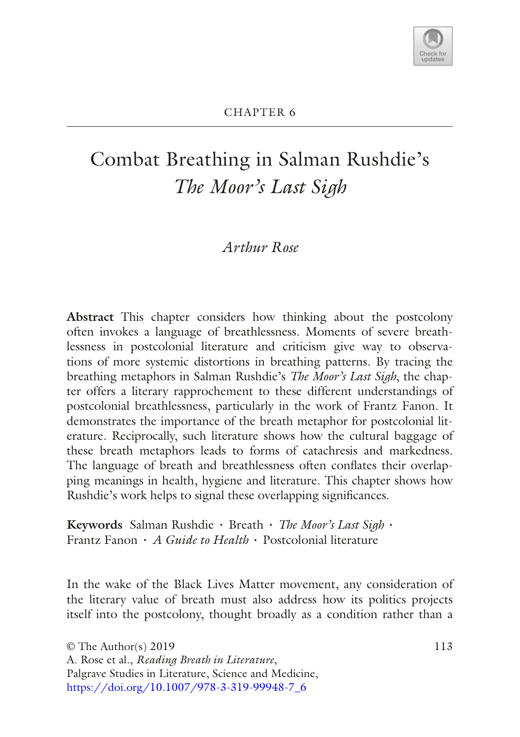

## Combat Breathing in Salman Rushdie's *The Moor's Last Sigh*

## *Arthur Rose*

**Abstract** This chapter considers how thinking about the postcolony often invokes a language of breathlessness. Moments of severe breathlessness in postcolonial literature and criticism give way to observations of more systemic distortions in breathing patterns. By tracing the breathing metaphors in Salman Rushdie's *The Moor's Last Sigh*, the chapter offers a literary rapprochement to these different understandings of postcolonial breathlessness, particularly in the work of Frantz Fanon. It demonstrates the importance of the breath metaphor for postcolonial literature. Reciprocally, such literature shows how the cultural baggage of these breath metaphors leads to forms of catachresis and markedness. The language of breath and breathlessness often conflates their overlapping meanings in health, hygiene and literature. This chapter shows how Rushdie's work helps to signal these overlapping signifcances.

**Keywords** Salman Rushdie · Breath · *The Moor's Last Sigh* · Frantz Fanon · *A Guide to Health* · Postcolonial literature

In the wake of the Black Lives Matter movement, any consideration of the literary value of breath must also address how its politics projects itself into the postcolony, thought broadly as a condition rather than a

<sup>©</sup> The Author(s) 2019 A. Rose et al., *Reading Breath in Literature*, Palgrave Studies in Literature, Science and Medicine, [https://doi.org/10.1007/978-3-319-99948-7\\_6](https://doi.org/10.1007/978-3-319-99948-7_6)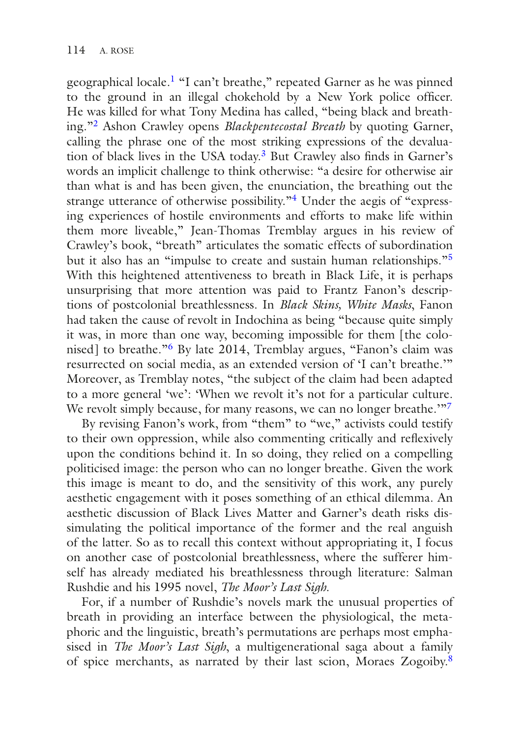geographical locale[.1](#page-17-0) "I can't breathe," repeated Garner as he was pinned to the ground in an illegal chokehold by a New York police officer. He was killed for what Tony Medina has called, "being black and breathing.["2](#page-17-0) Ashon Crawley opens *Blackpentecostal Breath* by quoting Garner, calling the phrase one of the most striking expressions of the devaluation of black lives in the USA today.[3](#page-17-0) But Crawley also fnds in Garner's words an implicit challenge to think otherwise: "a desire for otherwise air than what is and has been given, the enunciation, the breathing out the strange utterance of otherwise possibility."<sup>4</sup> Under the aegis of "expressing experiences of hostile environments and efforts to make life within them more liveable," Jean-Thomas Tremblay argues in his review of Crawley's book, "breath" articulates the somatic effects of subordination but it also has an "impulse to create and sustain human relationships."[5](#page-17-0) With this heightened attentiveness to breath in Black Life, it is perhaps unsurprising that more attention was paid to Frantz Fanon's descriptions of postcolonial breathlessness. In *Black Skins, White Masks*, Fanon had taken the cause of revolt in Indochina as being "because quite simply it was, in more than one way, becoming impossible for them [the colonised] to breathe."[6](#page-17-0) By late 2014, Tremblay argues, "Fanon's claim was resurrected on social media, as an extended version of 'I can't breathe.'" Moreover, as Tremblay notes, "the subject of the claim had been adapted to a more general 'we': 'When we revolt it's not for a particular culture. We revolt simply because, for many reasons, we can no longer breathe."<sup>[7](#page-17-0)7</sup>

By revising Fanon's work, from "them" to "we," activists could testify to their own oppression, while also commenting critically and refexively upon the conditions behind it. In so doing, they relied on a compelling politicised image: the person who can no longer breathe. Given the work this image is meant to do, and the sensitivity of this work, any purely aesthetic engagement with it poses something of an ethical dilemma. An aesthetic discussion of Black Lives Matter and Garner's death risks dissimulating the political importance of the former and the real anguish of the latter. So as to recall this context without appropriating it, I focus on another case of postcolonial breathlessness, where the sufferer himself has already mediated his breathlessness through literature: Salman Rushdie and his 1995 novel, *The Moor's Last Sigh*.

For, if a number of Rushdie's novels mark the unusual properties of breath in providing an interface between the physiological, the metaphoric and the linguistic, breath's permutations are perhaps most emphasised in *The Moor's Last Sigh*, a multigenerational saga about a family of spice merchants, as narrated by their last scion, Moraes Zogoiby.[8](#page-17-0)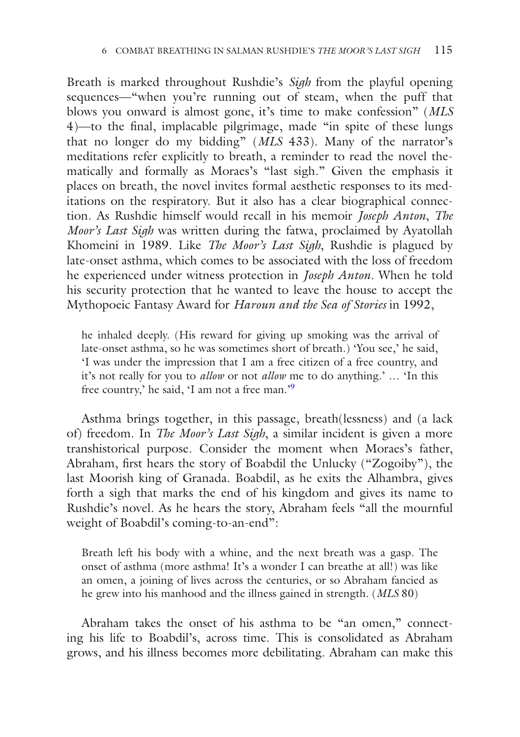Breath is marked throughout Rushdie's *Sigh* from the playful opening sequences—"when you're running out of steam, when the puff that blows you onward is almost gone, it's time to make confession" (*MLS* 4)—to the fnal, implacable pilgrimage, made "in spite of these lungs that no longer do my bidding" (*MLS* 433). Many of the narrator's meditations refer explicitly to breath, a reminder to read the novel thematically and formally as Moraes's "last sigh." Given the emphasis it places on breath, the novel invites formal aesthetic responses to its meditations on the respiratory. But it also has a clear biographical connection. As Rushdie himself would recall in his memoir *Joseph Anton*, *The Moor's Last Sigh* was written during the fatwa, proclaimed by Ayatollah Khomeini in 1989. Like *The Moor's Last Sigh*, Rushdie is plagued by late-onset asthma, which comes to be associated with the loss of freedom he experienced under witness protection in *Joseph Anton*. When he told his security protection that he wanted to leave the house to accept the Mythopoeic Fantasy Award for *Haroun and the Sea of Stories* in 1992,

he inhaled deeply. (His reward for giving up smoking was the arrival of late-onset asthma, so he was sometimes short of breath.) 'You see,' he said, 'I was under the impression that I am a free citizen of a free country, and it's not really for you to *allow* or not *allow* me to do anything.' … 'In this free country,' he said, 'I am not a free man.'[9](#page-17-0)

Asthma brings together, in this passage, breath(lessness) and (a lack of) freedom. In *The Moor's Last Sigh*, a similar incident is given a more transhistorical purpose. Consider the moment when Moraes's father, Abraham, frst hears the story of Boabdil the Unlucky ("Zogoiby"), the last Moorish king of Granada. Boabdil, as he exits the Alhambra, gives forth a sigh that marks the end of his kingdom and gives its name to Rushdie's novel. As he hears the story, Abraham feels "all the mournful weight of Boabdil's coming-to-an-end":

Breath left his body with a whine, and the next breath was a gasp. The onset of asthma (more asthma! It's a wonder I can breathe at all!) was like an omen, a joining of lives across the centuries, or so Abraham fancied as he grew into his manhood and the illness gained in strength. (*MLS* 80)

Abraham takes the onset of his asthma to be "an omen," connecting his life to Boabdil's, across time. This is consolidated as Abraham grows, and his illness becomes more debilitating. Abraham can make this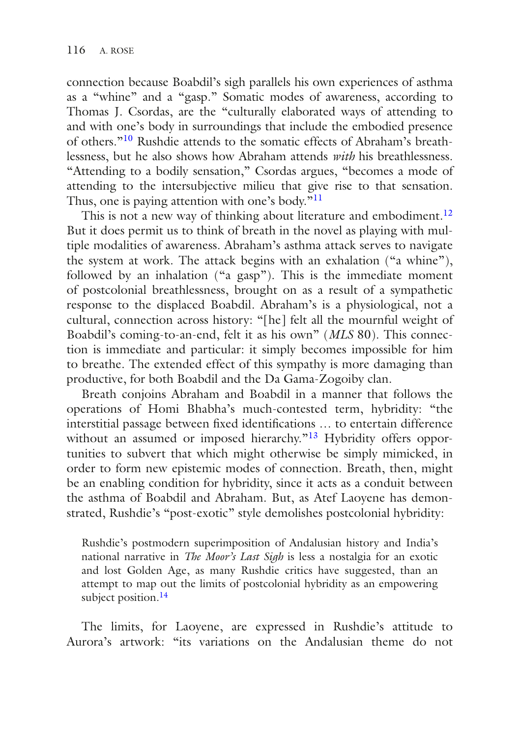connection because Boabdil's sigh parallels his own experiences of asthma as a "whine" and a "gasp." Somatic modes of awareness, according to Thomas J. Csordas, are the "culturally elaborated ways of attending to and with one's body in surroundings that include the embodied presence of others.["10](#page-17-0) Rushdie attends to the somatic effects of Abraham's breathlessness, but he also shows how Abraham attends *with* his breathlessness. "Attending to a bodily sensation," Csordas argues, "becomes a mode of attending to the intersubjective milieu that give rise to that sensation. Thus, one is paying attention with one's body."<sup>[11](#page-17-0)</sup>

This is not a new way of thinking about literature and embodiment.<sup>[12](#page-17-0)</sup> But it does permit us to think of breath in the novel as playing with multiple modalities of awareness. Abraham's asthma attack serves to navigate the system at work. The attack begins with an exhalation ("a whine"), followed by an inhalation ("a gasp"). This is the immediate moment of postcolonial breathlessness, brought on as a result of a sympathetic response to the displaced Boabdil. Abraham's is a physiological, not a cultural, connection across history: "[he] felt all the mournful weight of Boabdil's coming-to-an-end, felt it as his own" (*MLS* 80). This connection is immediate and particular: it simply becomes impossible for him to breathe. The extended effect of this sympathy is more damaging than productive, for both Boabdil and the Da Gama-Zogoiby clan.

Breath conjoins Abraham and Boabdil in a manner that follows the operations of Homi Bhabha's much-contested term, hybridity: "the interstitial passage between fxed identifcations … to entertain difference without an assumed or imposed hierarchy."<sup>13</sup> Hybridity offers opportunities to subvert that which might otherwise be simply mimicked, in order to form new epistemic modes of connection. Breath, then, might be an enabling condition for hybridity, since it acts as a conduit between the asthma of Boabdil and Abraham. But, as Atef Laoyene has demonstrated, Rushdie's "post-exotic" style demolishes postcolonial hybridity:

Rushdie's postmodern superimposition of Andalusian history and India's national narrative in *The Moor's Last Sigh* is less a nostalgia for an exotic and lost Golden Age, as many Rushdie critics have suggested, than an attempt to map out the limits of postcolonial hybridity as an empowering subject position.<sup>[14](#page-17-0)</sup>

The limits, for Laoyene, are expressed in Rushdie's attitude to Aurora's artwork: "its variations on the Andalusian theme do not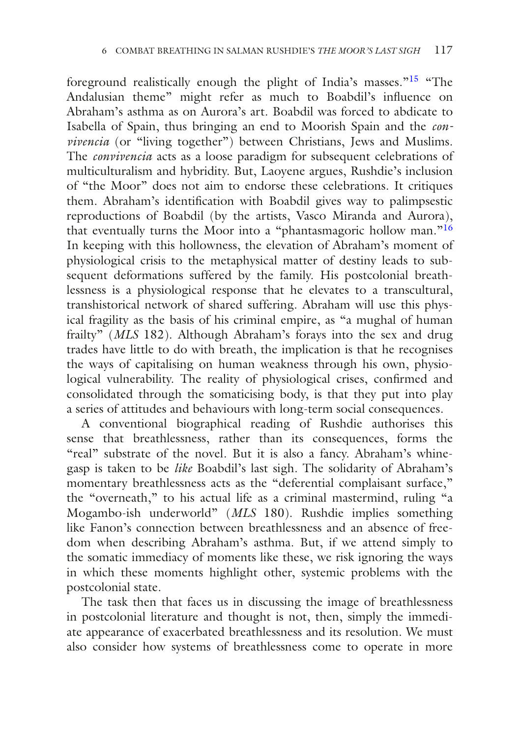foreground realistically enough the plight of India's masses.["15](#page-17-0) "The Andalusian theme" might refer as much to Boabdil's infuence on Abraham's asthma as on Aurora's art. Boabdil was forced to abdicate to Isabella of Spain, thus bringing an end to Moorish Spain and the *convivencia* (or "living together") between Christians, Jews and Muslims. The *convivencia* acts as a loose paradigm for subsequent celebrations of multiculturalism and hybridity. But, Laoyene argues, Rushdie's inclusion of "the Moor" does not aim to endorse these celebrations. It critiques them. Abraham's identifcation with Boabdil gives way to palimpsestic reproductions of Boabdil (by the artists, Vasco Miranda and Aurora), that eventually turns the Moor into a "phantasmagoric hollow man."[16](#page-17-0) In keeping with this hollowness, the elevation of Abraham's moment of physiological crisis to the metaphysical matter of destiny leads to subsequent deformations suffered by the family. His postcolonial breathlessness is a physiological response that he elevates to a transcultural, transhistorical network of shared suffering. Abraham will use this physical fragility as the basis of his criminal empire, as "a mughal of human frailty" (*MLS* 182). Although Abraham's forays into the sex and drug trades have little to do with breath, the implication is that he recognises the ways of capitalising on human weakness through his own, physiological vulnerability. The reality of physiological crises, confrmed and consolidated through the somaticising body, is that they put into play a series of attitudes and behaviours with long-term social consequences.

A conventional biographical reading of Rushdie authorises this sense that breathlessness, rather than its consequences, forms the "real" substrate of the novel. But it is also a fancy. Abraham's whinegasp is taken to be *like* Boabdil's last sigh. The solidarity of Abraham's momentary breathlessness acts as the "deferential complaisant surface," the "overneath," to his actual life as a criminal mastermind, ruling "a Mogambo-ish underworld" (*MLS* 180). Rushdie implies something like Fanon's connection between breathlessness and an absence of freedom when describing Abraham's asthma. But, if we attend simply to the somatic immediacy of moments like these, we risk ignoring the ways in which these moments highlight other, systemic problems with the postcolonial state.

The task then that faces us in discussing the image of breathlessness in postcolonial literature and thought is not, then, simply the immediate appearance of exacerbated breathlessness and its resolution. We must also consider how systems of breathlessness come to operate in more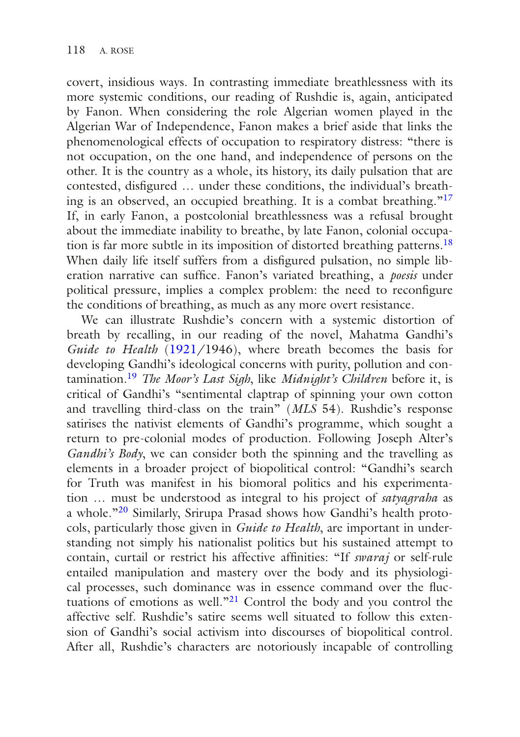covert, insidious ways. In contrasting immediate breathlessness with its more systemic conditions, our reading of Rushdie is, again, anticipated by Fanon. When considering the role Algerian women played in the Algerian War of Independence, Fanon makes a brief aside that links the phenomenological effects of occupation to respiratory distress: "there is not occupation, on the one hand, and independence of persons on the other. It is the country as a whole, its history, its daily pulsation that are contested, disfgured … under these conditions, the individual's breathing is an observed, an occupied breathing. It is a combat breathing."[17](#page-17-0) If, in early Fanon, a postcolonial breathlessness was a refusal brought about the immediate inability to breathe, by late Fanon, colonial occupa-tion is far more subtle in its imposition of distorted breathing patterns.<sup>[18](#page-17-0)</sup> When daily life itself suffers from a disfigured pulsation, no simple liberation narrative can suffice. Fanon's variated breathing, a *poesis* under political pressure, implies a complex problem: the need to reconfgure the conditions of breathing, as much as any more overt resistance.

We can illustrate Rushdie's concern with a systemic distortion of breath by recalling, in our reading of the novel, Mahatma Gandhi's *Guide to Health* ([1921](#page-20-0)/1946), where breath becomes the basis for developing Gandhi's ideological concerns with purity, pollution and contamination.[19](#page-17-0) *The Moor's Last Sigh*, like *Midnight's Children* before it, is critical of Gandhi's "sentimental claptrap of spinning your own cotton and travelling third-class on the train" (*MLS* 54). Rushdie's response satirises the nativist elements of Gandhi's programme, which sought a return to pre-colonial modes of production. Following Joseph Alter's *Gandhi's Body*, we can consider both the spinning and the travelling as elements in a broader project of biopolitical control: "Gandhi's search for Truth was manifest in his biomoral politics and his experimentation … must be understood as integral to his project of *satyagraha* as a whole."[20](#page-17-0) Similarly, Srirupa Prasad shows how Gandhi's health protocols, particularly those given in *Guide to Health*, are important in understanding not simply his nationalist politics but his sustained attempt to contain, curtail or restrict his affective affnities: "If *swaraj* or self-rule entailed manipulation and mastery over the body and its physiological processes, such dominance was in essence command over the fuctuations of emotions as well.["21](#page-17-0) Control the body and you control the affective self. Rushdie's satire seems well situated to follow this extension of Gandhi's social activism into discourses of biopolitical control. After all, Rushdie's characters are notoriously incapable of controlling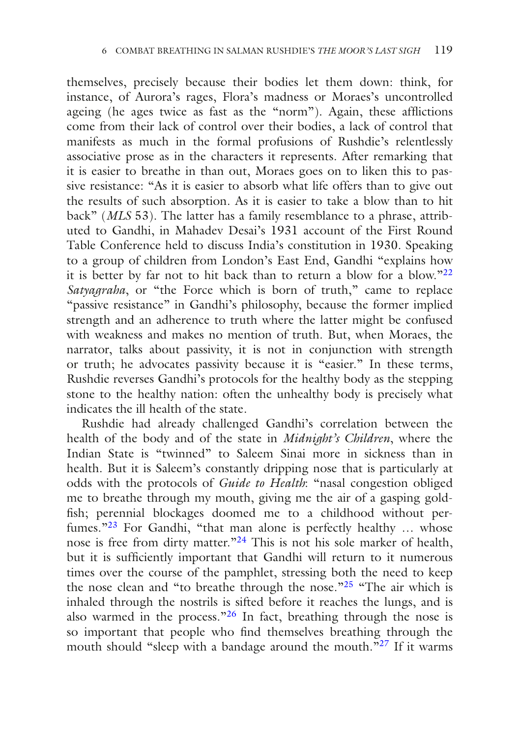themselves, precisely because their bodies let them down: think, for instance, of Aurora's rages, Flora's madness or Moraes's uncontrolled ageing (he ages twice as fast as the "norm"). Again, these affictions come from their lack of control over their bodies, a lack of control that manifests as much in the formal profusions of Rushdie's relentlessly associative prose as in the characters it represents. After remarking that it is easier to breathe in than out, Moraes goes on to liken this to passive resistance: "As it is easier to absorb what life offers than to give out the results of such absorption. As it is easier to take a blow than to hit back" (*MLS* 53). The latter has a family resemblance to a phrase, attributed to Gandhi, in Mahadev Desai's 1931 account of the First Round Table Conference held to discuss India's constitution in 1930. Speaking to a group of children from London's East End, Gandhi "explains how it is better by far not to hit back than to return a blow for a blow."[22](#page-17-0) *Satyagraha*, or "the Force which is born of truth," came to replace "passive resistance" in Gandhi's philosophy, because the former implied strength and an adherence to truth where the latter might be confused with weakness and makes no mention of truth. But, when Moraes, the narrator, talks about passivity, it is not in conjunction with strength or truth; he advocates passivity because it is "easier." In these terms, Rushdie reverses Gandhi's protocols for the healthy body as the stepping stone to the healthy nation: often the unhealthy body is precisely what indicates the ill health of the state.

Rushdie had already challenged Gandhi's correlation between the health of the body and of the state in *Midnight's Children*, where the Indian State is "twinned" to Saleem Sinai more in sickness than in health. But it is Saleem's constantly dripping nose that is particularly at odds with the protocols of *Guide to Health*: "nasal congestion obliged me to breathe through my mouth, giving me the air of a gasping goldfsh; perennial blockages doomed me to a childhood without perfumes."<sup>23</sup> For Gandhi, "that man alone is perfectly healthy ... whose nose is free from dirty matter."<sup>24</sup> This is not his sole marker of health, but it is sufficiently important that Gandhi will return to it numerous times over the course of the pamphlet, stressing both the need to keep the nose clean and "to breathe through the nose."[25](#page-17-0) "The air which is inhaled through the nostrils is sifted before it reaches the lungs, and is also warmed in the process." $26$  In fact, breathing through the nose is so important that people who fnd themselves breathing through the mouth should "sleep with a bandage around the mouth."<sup>27</sup> If it warms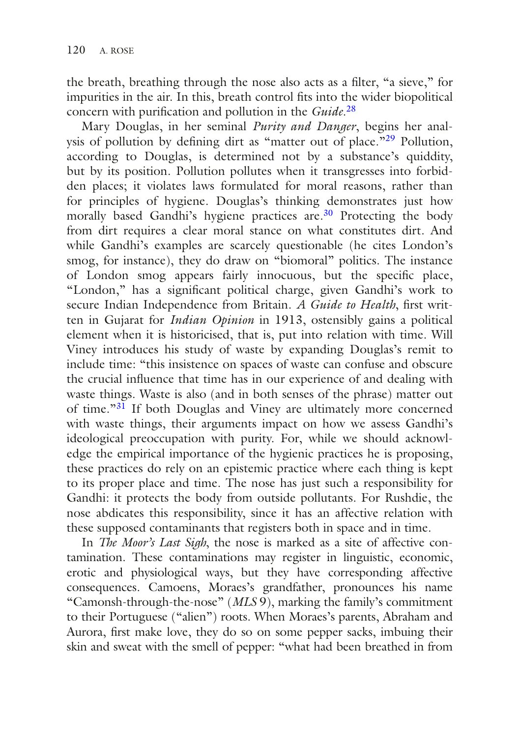the breath, breathing through the nose also acts as a flter, "a sieve," for impurities in the air. In this, breath control fts into the wider biopolitical concern with purifcation and pollution in the *Guide*. [28](#page-17-0)

Mary Douglas, in her seminal *Purity and Danger*, begins her analysis of pollution by defining dirt as "matter out of place."<sup>29</sup> Pollution, according to Douglas, is determined not by a substance's quiddity, but by its position. Pollution pollutes when it transgresses into forbidden places; it violates laws formulated for moral reasons, rather than for principles of hygiene. Douglas's thinking demonstrates just how morally based Gandhi's hygiene practices are.<sup>30</sup> Protecting the body from dirt requires a clear moral stance on what constitutes dirt. And while Gandhi's examples are scarcely questionable (he cites London's smog, for instance), they do draw on "biomoral" politics. The instance of London smog appears fairly innocuous, but the specifc place, "London," has a signifcant political charge, given Gandhi's work to secure Indian Independence from Britain. *A Guide to Health*, frst written in Gujarat for *Indian Opinion* in 1913, ostensibly gains a political element when it is historicised, that is, put into relation with time. Will Viney introduces his study of waste by expanding Douglas's remit to include time: "this insistence on spaces of waste can confuse and obscure the crucial infuence that time has in our experience of and dealing with waste things. Waste is also (and in both senses of the phrase) matter out of time."[31](#page-17-0) If both Douglas and Viney are ultimately more concerned with waste things, their arguments impact on how we assess Gandhi's ideological preoccupation with purity. For, while we should acknowledge the empirical importance of the hygienic practices he is proposing, these practices do rely on an epistemic practice where each thing is kept to its proper place and time. The nose has just such a responsibility for Gandhi: it protects the body from outside pollutants. For Rushdie, the nose abdicates this responsibility, since it has an affective relation with these supposed contaminants that registers both in space and in time.

In *The Moor's Last Sigh*, the nose is marked as a site of affective contamination. These contaminations may register in linguistic, economic, erotic and physiological ways, but they have corresponding affective consequences. Camoens, Moraes's grandfather, pronounces his name "Camonsh-through-the-nose" (*MLS* 9), marking the family's commitment to their Portuguese ("alien") roots. When Moraes's parents, Abraham and Aurora, frst make love, they do so on some pepper sacks, imbuing their skin and sweat with the smell of pepper: "what had been breathed in from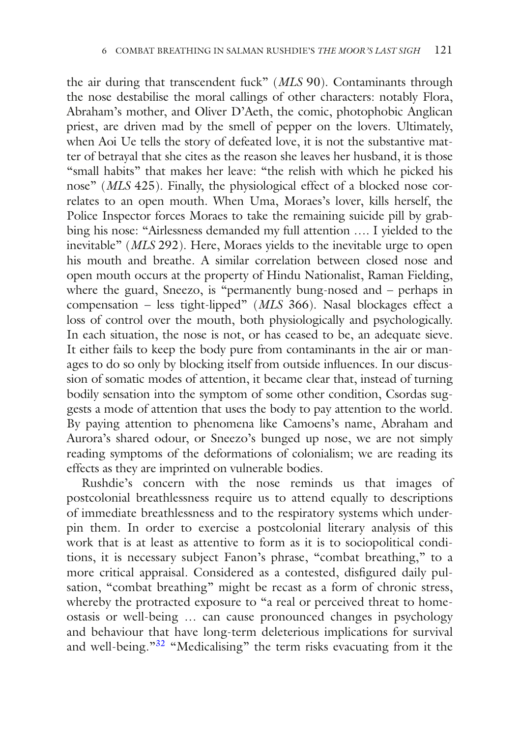the air during that transcendent fuck" (*MLS* 90). Contaminants through the nose destabilise the moral callings of other characters: notably Flora, Abraham's mother, and Oliver D'Aeth, the comic, photophobic Anglican priest, are driven mad by the smell of pepper on the lovers. Ultimately, when Aoi Ue tells the story of defeated love, it is not the substantive matter of betrayal that she cites as the reason she leaves her husband, it is those "small habits" that makes her leave: "the relish with which he picked his nose" (*MLS* 425). Finally, the physiological effect of a blocked nose correlates to an open mouth. When Uma, Moraes's lover, kills herself, the Police Inspector forces Moraes to take the remaining suicide pill by grabbing his nose: "Airlessness demanded my full attention …. I yielded to the inevitable" (*MLS* 292). Here, Moraes yields to the inevitable urge to open his mouth and breathe. A similar correlation between closed nose and open mouth occurs at the property of Hindu Nationalist, Raman Fielding, where the guard, Sneezo, is "permanently bung-nosed and – perhaps in compensation – less tight-lipped" (*MLS* 366). Nasal blockages effect a loss of control over the mouth, both physiologically and psychologically. In each situation, the nose is not, or has ceased to be, an adequate sieve. It either fails to keep the body pure from contaminants in the air or manages to do so only by blocking itself from outside infuences. In our discussion of somatic modes of attention, it became clear that, instead of turning bodily sensation into the symptom of some other condition, Csordas suggests a mode of attention that uses the body to pay attention to the world. By paying attention to phenomena like Camoens's name, Abraham and Aurora's shared odour, or Sneezo's bunged up nose, we are not simply reading symptoms of the deformations of colonialism; we are reading its effects as they are imprinted on vulnerable bodies.

Rushdie's concern with the nose reminds us that images of postcolonial breathlessness require us to attend equally to descriptions of immediate breathlessness and to the respiratory systems which underpin them. In order to exercise a postcolonial literary analysis of this work that is at least as attentive to form as it is to sociopolitical conditions, it is necessary subject Fanon's phrase, "combat breathing," to a more critical appraisal. Considered as a contested, disfgured daily pulsation, "combat breathing" might be recast as a form of chronic stress, whereby the protracted exposure to "a real or perceived threat to homeostasis or well-being … can cause pronounced changes in psychology and behaviour that have long-term deleterious implications for survival and well-being."[32](#page-17-0) "Medicalising" the term risks evacuating from it the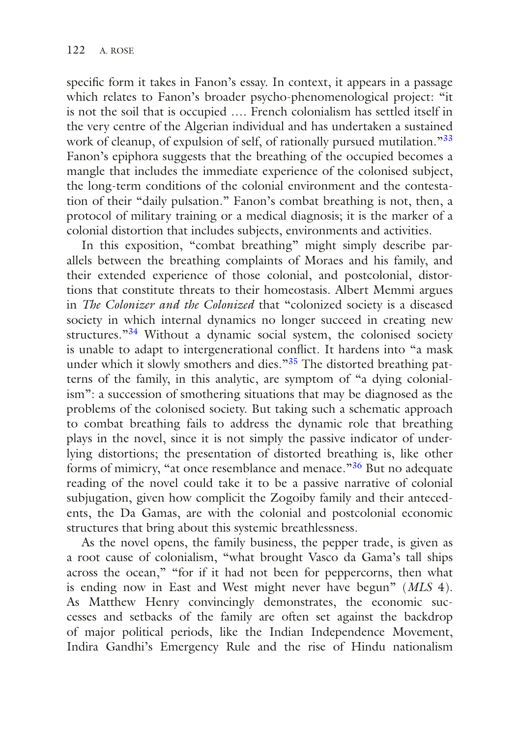specifc form it takes in Fanon's essay. In context, it appears in a passage which relates to Fanon's broader psycho-phenomenological project: "it is not the soil that is occupied …. French colonialism has settled itself in the very centre of the Algerian individual and has undertaken a sustained work of cleanup, of expulsion of self, of rationally pursued mutilation."[33](#page-17-0) Fanon's epiphora suggests that the breathing of the occupied becomes a mangle that includes the immediate experience of the colonised subject, the long-term conditions of the colonial environment and the contestation of their "daily pulsation." Fanon's combat breathing is not, then, a protocol of military training or a medical diagnosis; it is the marker of a colonial distortion that includes subjects, environments and activities.

In this exposition, "combat breathing" might simply describe parallels between the breathing complaints of Moraes and his family, and their extended experience of those colonial, and postcolonial, distortions that constitute threats to their homeostasis. Albert Memmi argues in *The Colonizer and the Colonized* that "colonized society is a diseased society in which internal dynamics no longer succeed in creating new structures."<sup>[34](#page-17-0)</sup> Without a dynamic social system, the colonised society is unable to adapt to intergenerational confict. It hardens into "a mask under which it slowly smothers and dies."<sup>35</sup> The distorted breathing patterns of the family, in this analytic, are symptom of "a dying colonialism": a succession of smothering situations that may be diagnosed as the problems of the colonised society. But taking such a schematic approach to combat breathing fails to address the dynamic role that breathing plays in the novel, since it is not simply the passive indicator of underlying distortions; the presentation of distorted breathing is, like other forms of mimicry, "at once resemblance and menace.["36](#page-17-0) But no adequate reading of the novel could take it to be a passive narrative of colonial subjugation, given how complicit the Zogoiby family and their antecedents, the Da Gamas, are with the colonial and postcolonial economic structures that bring about this systemic breathlessness.

As the novel opens, the family business, the pepper trade, is given as a root cause of colonialism, "what brought Vasco da Gama's tall ships across the ocean," "for if it had not been for peppercorns, then what is ending now in East and West might never have begun" (*MLS* 4). As Matthew Henry convincingly demonstrates, the economic successes and setbacks of the family are often set against the backdrop of major political periods, like the Indian Independence Movement, Indira Gandhi's Emergency Rule and the rise of Hindu nationalism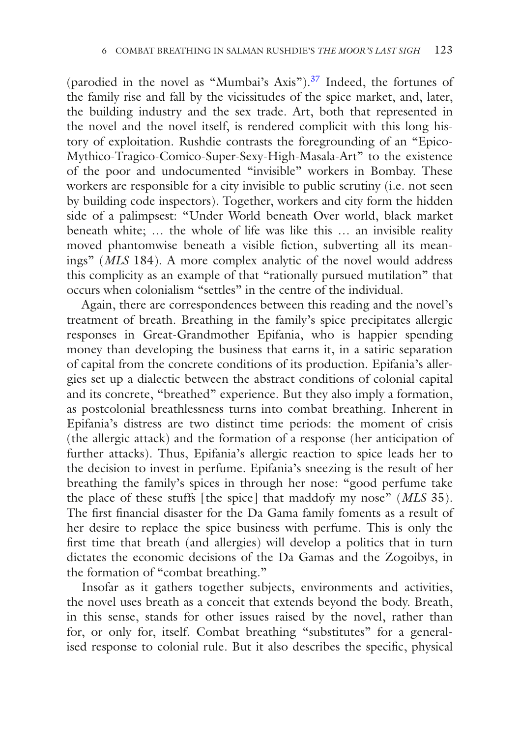(parodied in the novel as "Mumbai's Axis").<sup>[37](#page-17-0)</sup> Indeed, the fortunes of the family rise and fall by the vicissitudes of the spice market, and, later, the building industry and the sex trade. Art, both that represented in the novel and the novel itself, is rendered complicit with this long history of exploitation. Rushdie contrasts the foregrounding of an "Epico-Mythico-Tragico-Comico-Super-Sexy-High-Masala-Art" to the existence of the poor and undocumented "invisible" workers in Bombay. These workers are responsible for a city invisible to public scrutiny (i.e. not seen by building code inspectors). Together, workers and city form the hidden side of a palimpsest: "Under World beneath Over world, black market beneath white; … the whole of life was like this … an invisible reality moved phantomwise beneath a visible fiction, subverting all its meanings" (*MLS* 184). A more complex analytic of the novel would address this complicity as an example of that "rationally pursued mutilation" that occurs when colonialism "settles" in the centre of the individual.

Again, there are correspondences between this reading and the novel's treatment of breath. Breathing in the family's spice precipitates allergic responses in Great-Grandmother Epifania, who is happier spending money than developing the business that earns it, in a satiric separation of capital from the concrete conditions of its production. Epifania's allergies set up a dialectic between the abstract conditions of colonial capital and its concrete, "breathed" experience. But they also imply a formation, as postcolonial breathlessness turns into combat breathing. Inherent in Epifania's distress are two distinct time periods: the moment of crisis (the allergic attack) and the formation of a response (her anticipation of further attacks). Thus, Epifania's allergic reaction to spice leads her to the decision to invest in perfume. Epifania's sneezing is the result of her breathing the family's spices in through her nose: "good perfume take the place of these stuffs [the spice] that maddofy my nose" (*MLS* 35). The frst fnancial disaster for the Da Gama family foments as a result of her desire to replace the spice business with perfume. This is only the frst time that breath (and allergies) will develop a politics that in turn dictates the economic decisions of the Da Gamas and the Zogoibys, in the formation of "combat breathing."

Insofar as it gathers together subjects, environments and activities, the novel uses breath as a conceit that extends beyond the body. Breath, in this sense, stands for other issues raised by the novel, rather than for, or only for, itself. Combat breathing "substitutes" for a generalised response to colonial rule. But it also describes the specifc, physical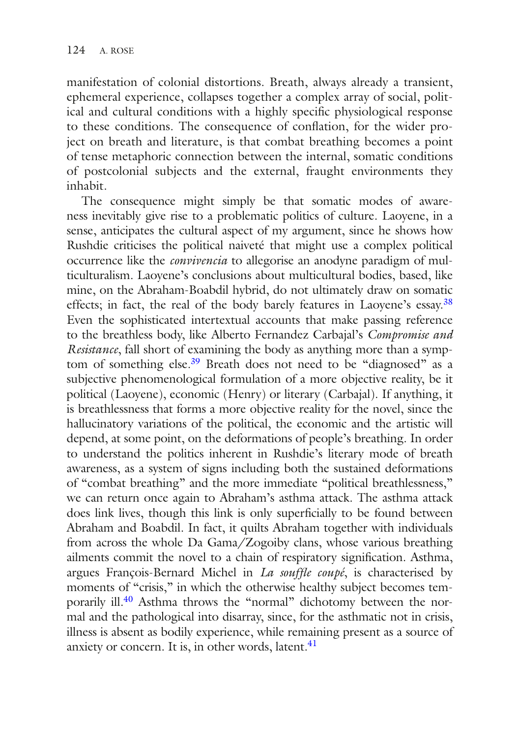manifestation of colonial distortions. Breath, always already a transient, ephemeral experience, collapses together a complex array of social, political and cultural conditions with a highly specifc physiological response to these conditions. The consequence of confation, for the wider project on breath and literature, is that combat breathing becomes a point of tense metaphoric connection between the internal, somatic conditions of postcolonial subjects and the external, fraught environments they inhabit.

The consequence might simply be that somatic modes of awareness inevitably give rise to a problematic politics of culture. Laoyene, in a sense, anticipates the cultural aspect of my argument, since he shows how Rushdie criticises the political naiveté that might use a complex political occurrence like the *convivencia* to allegorise an anodyne paradigm of multiculturalism. Laoyene's conclusions about multicultural bodies, based, like mine, on the Abraham-Boabdil hybrid, do not ultimately draw on somatic effects; in fact, the real of the body barely features in Laoyene's essay[.38](#page-17-0) Even the sophisticated intertextual accounts that make passing reference to the breathless body, like Alberto Fernandez Carbajal's *Compromise and Resistance*, fall short of examining the body as anything more than a symptom of something else.<sup>39</sup> Breath does not need to be "diagnosed" as a subjective phenomenological formulation of a more objective reality, be it political (Laoyene), economic (Henry) or literary (Carbajal). If anything, it is breathlessness that forms a more objective reality for the novel, since the hallucinatory variations of the political, the economic and the artistic will depend, at some point, on the deformations of people's breathing. In order to understand the politics inherent in Rushdie's literary mode of breath awareness, as a system of signs including both the sustained deformations of "combat breathing" and the more immediate "political breathlessness," we can return once again to Abraham's asthma attack. The asthma attack does link lives, though this link is only superficially to be found between Abraham and Boabdil. In fact, it quilts Abraham together with individuals from across the whole Da Gama/Zogoiby clans, whose various breathing ailments commit the novel to a chain of respiratory signifcation. Asthma, argues François-Bernard Michel in *La souffe coupé*, is characterised by moments of "crisis," in which the otherwise healthy subject becomes temporarily ill.[40](#page-17-0) Asthma throws the "normal" dichotomy between the normal and the pathological into disarray, since, for the asthmatic not in crisis, illness is absent as bodily experience, while remaining present as a source of anxiety or concern. It is, in other words, latent. $41$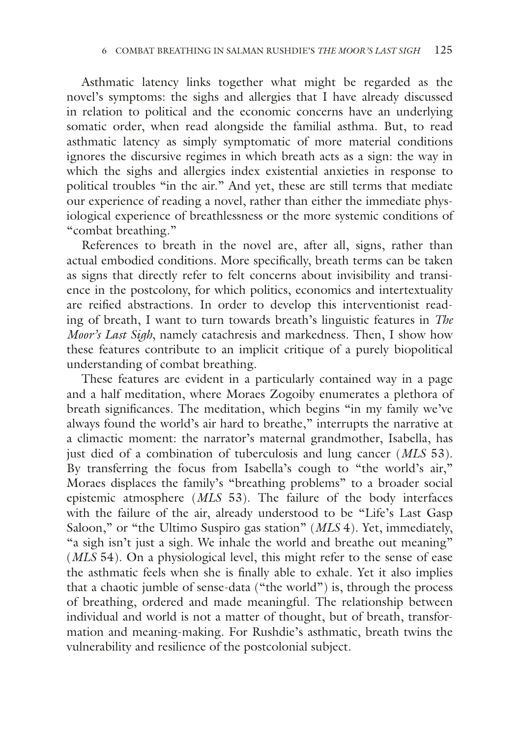Asthmatic latency links together what might be regarded as the novel's symptoms: the sighs and allergies that I have already discussed in relation to political and the economic concerns have an underlying somatic order, when read alongside the familial asthma. But, to read asthmatic latency as simply symptomatic of more material conditions ignores the discursive regimes in which breath acts as a sign: the way in which the sighs and allergies index existential anxieties in response to political troubles "in the air." And yet, these are still terms that mediate our experience of reading a novel, rather than either the immediate physiological experience of breathlessness or the more systemic conditions of "combat breathing."

References to breath in the novel are, after all, signs, rather than actual embodied conditions. More specifcally, breath terms can be taken as signs that directly refer to felt concerns about invisibility and transience in the postcolony, for which politics, economics and intertextuality are reifed abstractions. In order to develop this interventionist reading of breath, I want to turn towards breath's linguistic features in *The Moor's Last Sigh*, namely catachresis and markedness. Then, I show how these features contribute to an implicit critique of a purely biopolitical understanding of combat breathing.

These features are evident in a particularly contained way in a page and a half meditation, where Moraes Zogoiby enumerates a plethora of breath signifcances. The meditation, which begins "in my family we've always found the world's air hard to breathe," interrupts the narrative at a climactic moment: the narrator's maternal grandmother, Isabella, has just died of a combination of tuberculosis and lung cancer (*MLS* 53). By transferring the focus from Isabella's cough to "the world's air," Moraes displaces the family's "breathing problems" to a broader social epistemic atmosphere (*MLS* 53). The failure of the body interfaces with the failure of the air, already understood to be "Life's Last Gasp Saloon," or "the Ultimo Suspiro gas station" (*MLS* 4). Yet, immediately, "a sigh isn't just a sigh. We inhale the world and breathe out meaning" (*MLS* 54). On a physiological level, this might refer to the sense of ease the asthmatic feels when she is fnally able to exhale. Yet it also implies that a chaotic jumble of sense-data ("the world") is, through the process of breathing, ordered and made meaningful. The relationship between individual and world is not a matter of thought, but of breath, transformation and meaning-making. For Rushdie's asthmatic, breath twins the vulnerability and resilience of the postcolonial subject.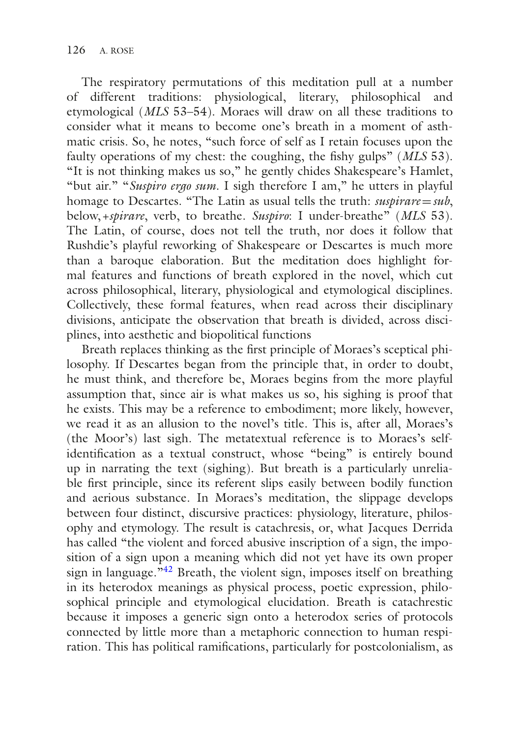The respiratory permutations of this meditation pull at a number of different traditions: physiological, literary, philosophical and etymological (*MLS* 53–54). Moraes will draw on all these traditions to consider what it means to become one's breath in a moment of asthmatic crisis. So, he notes, "such force of self as I retain focuses upon the faulty operations of my chest: the coughing, the fshy gulps" (*MLS* 53). "It is not thinking makes us so," he gently chides Shakespeare's Hamlet, "but air." "*Suspiro ergo sum*. I sigh therefore I am," he utters in playful homage to Descartes. "The Latin as usual tells the truth: *suspirare*=*sub*, below,+*spirare*, verb, to breathe. *Suspiro*: I under-breathe" (*MLS* 53). The Latin, of course, does not tell the truth, nor does it follow that Rushdie's playful reworking of Shakespeare or Descartes is much more than a baroque elaboration. But the meditation does highlight formal features and functions of breath explored in the novel, which cut across philosophical, literary, physiological and etymological disciplines. Collectively, these formal features, when read across their disciplinary divisions, anticipate the observation that breath is divided, across disciplines, into aesthetic and biopolitical functions

Breath replaces thinking as the frst principle of Moraes's sceptical philosophy. If Descartes began from the principle that, in order to doubt, he must think, and therefore be, Moraes begins from the more playful assumption that, since air is what makes us so, his sighing is proof that he exists. This may be a reference to embodiment; more likely, however, we read it as an allusion to the novel's title. This is, after all, Moraes's (the Moor's) last sigh. The metatextual reference is to Moraes's selfidentifcation as a textual construct, whose "being" is entirely bound up in narrating the text (sighing). But breath is a particularly unreliable frst principle, since its referent slips easily between bodily function and aerious substance. In Moraes's meditation, the slippage develops between four distinct, discursive practices: physiology, literature, philosophy and etymology. The result is catachresis, or, what Jacques Derrida has called "the violent and forced abusive inscription of a sign, the imposition of a sign upon a meaning which did not yet have its own proper sign in language.<sup> $342$ </sup> Breath, the violent sign, imposes itself on breathing in its heterodox meanings as physical process, poetic expression, philosophical principle and etymological elucidation. Breath is catachrestic because it imposes a generic sign onto a heterodox series of protocols connected by little more than a metaphoric connection to human respiration. This has political ramifcations, particularly for postcolonialism, as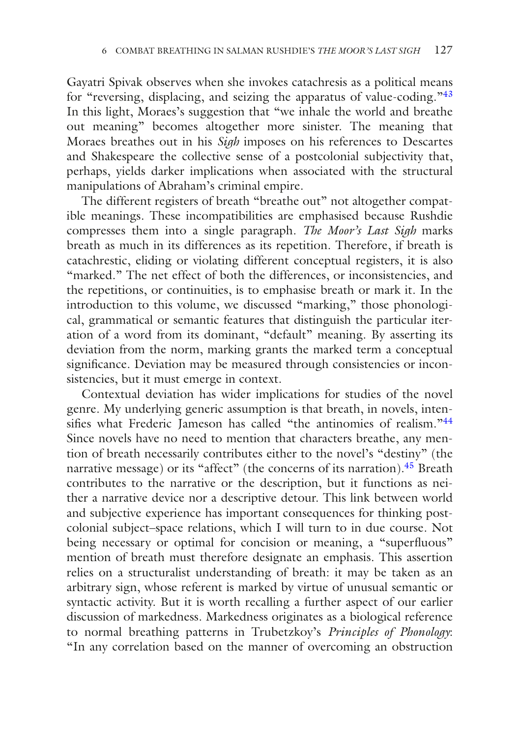Gayatri Spivak observes when she invokes catachresis as a political means for "reversing, displacing, and seizing the apparatus of value-coding."[43](#page-17-0) In this light, Moraes's suggestion that "we inhale the world and breathe out meaning" becomes altogether more sinister. The meaning that Moraes breathes out in his *Sigh* imposes on his references to Descartes and Shakespeare the collective sense of a postcolonial subjectivity that, perhaps, yields darker implications when associated with the structural manipulations of Abraham's criminal empire.

The different registers of breath "breathe out" not altogether compatible meanings. These incompatibilities are emphasised because Rushdie compresses them into a single paragraph. *The Moor's Last Sigh* marks breath as much in its differences as its repetition. Therefore, if breath is catachrestic, eliding or violating different conceptual registers, it is also "marked." The net effect of both the differences, or inconsistencies, and the repetitions, or continuities, is to emphasise breath or mark it. In the introduction to this volume, we discussed "marking," those phonological, grammatical or semantic features that distinguish the particular iteration of a word from its dominant, "default" meaning. By asserting its deviation from the norm, marking grants the marked term a conceptual significance. Deviation may be measured through consistencies or inconsistencies, but it must emerge in context.

Contextual deviation has wider implications for studies of the novel genre. My underlying generic assumption is that breath, in novels, inten-sifies what Frederic Jameson has called "the antinomies of realism."<sup>[44](#page-17-0)</sup> Since novels have no need to mention that characters breathe, any mention of breath necessarily contributes either to the novel's "destiny" (the narrative message) or its "affect" (the concerns of its narration).<sup>[45](#page-17-0)</sup> Breath contributes to the narrative or the description, but it functions as neither a narrative device nor a descriptive detour. This link between world and subjective experience has important consequences for thinking postcolonial subject–space relations, which I will turn to in due course. Not being necessary or optimal for concision or meaning, a "superfluous" mention of breath must therefore designate an emphasis. This assertion relies on a structuralist understanding of breath: it may be taken as an arbitrary sign, whose referent is marked by virtue of unusual semantic or syntactic activity. But it is worth recalling a further aspect of our earlier discussion of markedness. Markedness originates as a biological reference to normal breathing patterns in Trubetzkoy's *Principles of Phonology*: "In any correlation based on the manner of overcoming an obstruction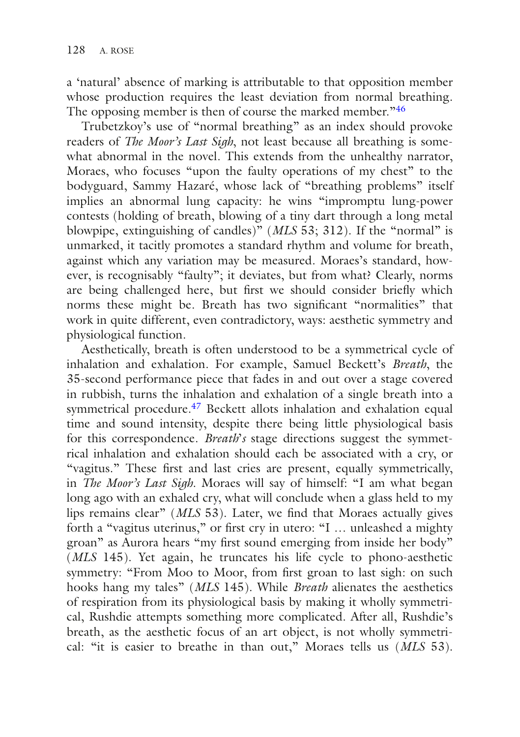a 'natural' absence of marking is attributable to that opposition member whose production requires the least deviation from normal breathing. The opposing member is then of course the marked member."<sup>[46](#page-17-0)</sup>

Trubetzkoy's use of "normal breathing" as an index should provoke readers of *The Moor's Last Sigh*, not least because all breathing is somewhat abnormal in the novel. This extends from the unhealthy narrator, Moraes, who focuses "upon the faulty operations of my chest" to the bodyguard, Sammy Hazaré, whose lack of "breathing problems" itself implies an abnormal lung capacity: he wins "impromptu lung-power contests (holding of breath, blowing of a tiny dart through a long metal blowpipe, extinguishing of candles)" (*MLS* 53; 312). If the "normal" is unmarked, it tacitly promotes a standard rhythm and volume for breath, against which any variation may be measured. Moraes's standard, however, is recognisably "faulty"; it deviates, but from what? Clearly, norms are being challenged here, but frst we should consider briefy which norms these might be. Breath has two signifcant "normalities" that work in quite different, even contradictory, ways: aesthetic symmetry and physiological function.

Aesthetically, breath is often understood to be a symmetrical cycle of inhalation and exhalation. For example, Samuel Beckett's *Breath*, the 35-second performance piece that fades in and out over a stage covered in rubbish, turns the inhalation and exhalation of a single breath into a symmetrical procedure.<sup>[47](#page-17-0)</sup> Beckett allots inhalation and exhalation equal time and sound intensity, despite there being little physiological basis for this correspondence. *Breath*'*s* stage directions suggest the symmetrical inhalation and exhalation should each be associated with a cry, or "vagitus." These frst and last cries are present, equally symmetrically, in *The Moor's Last Sigh*. Moraes will say of himself: "I am what began long ago with an exhaled cry, what will conclude when a glass held to my lips remains clear" (*MLS* 53). Later, we fnd that Moraes actually gives forth a "vagitus uterinus," or frst cry in utero: "I … unleashed a mighty groan" as Aurora hears "my frst sound emerging from inside her body" (*MLS* 145). Yet again, he truncates his life cycle to phono-aesthetic symmetry: "From Moo to Moor, from frst groan to last sigh: on such hooks hang my tales" (*MLS* 145). While *Breath* alienates the aesthetics of respiration from its physiological basis by making it wholly symmetrical, Rushdie attempts something more complicated. After all, Rushdie's breath, as the aesthetic focus of an art object, is not wholly symmetrical: "it is easier to breathe in than out," Moraes tells us (*MLS* 53).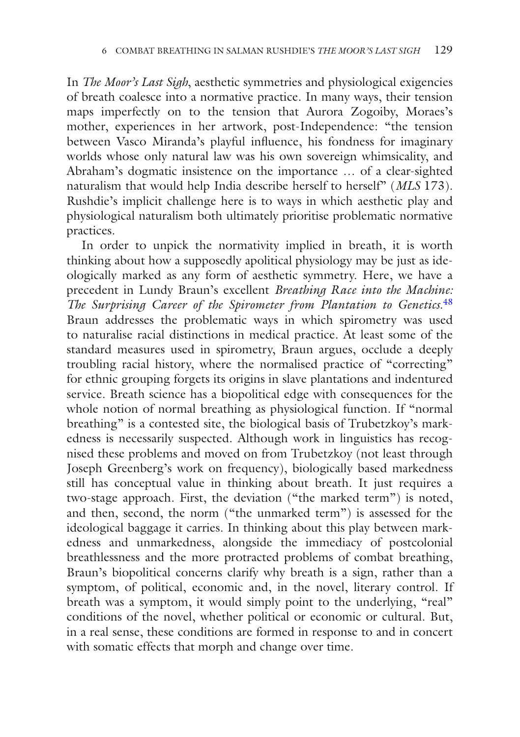In *The Moor's Last Sigh*, aesthetic symmetries and physiological exigencies of breath coalesce into a normative practice. In many ways, their tension maps imperfectly on to the tension that Aurora Zogoiby, Moraes's mother, experiences in her artwork, post-Independence: "the tension between Vasco Miranda's playful infuence, his fondness for imaginary worlds whose only natural law was his own sovereign whimsicality, and Abraham's dogmatic insistence on the importance … of a clear-sighted naturalism that would help India describe herself to herself" (*MLS* 173). Rushdie's implicit challenge here is to ways in which aesthetic play and physiological naturalism both ultimately prioritise problematic normative practices.

In order to unpick the normativity implied in breath, it is worth thinking about how a supposedly apolitical physiology may be just as ideologically marked as any form of aesthetic symmetry. Here, we have a precedent in Lundy Braun's excellent *Breathing Race into the Machine: The Surprising Career of the Spirometer from Plantation to Genetics*. [48](#page-17-0) Braun addresses the problematic ways in which spirometry was used to naturalise racial distinctions in medical practice. At least some of the standard measures used in spirometry, Braun argues, occlude a deeply troubling racial history, where the normalised practice of "correcting" for ethnic grouping forgets its origins in slave plantations and indentured service. Breath science has a biopolitical edge with consequences for the whole notion of normal breathing as physiological function. If "normal breathing" is a contested site, the biological basis of Trubetzkoy's markedness is necessarily suspected. Although work in linguistics has recognised these problems and moved on from Trubetzkoy (not least through Joseph Greenberg's work on frequency), biologically based markedness still has conceptual value in thinking about breath. It just requires a two-stage approach. First, the deviation ("the marked term") is noted, and then, second, the norm ("the unmarked term") is assessed for the ideological baggage it carries. In thinking about this play between markedness and unmarkedness, alongside the immediacy of postcolonial breathlessness and the more protracted problems of combat breathing, Braun's biopolitical concerns clarify why breath is a sign, rather than a symptom, of political, economic and, in the novel, literary control. If breath was a symptom, it would simply point to the underlying, "real" conditions of the novel, whether political or economic or cultural. But, in a real sense, these conditions are formed in response to and in concert with somatic effects that morph and change over time.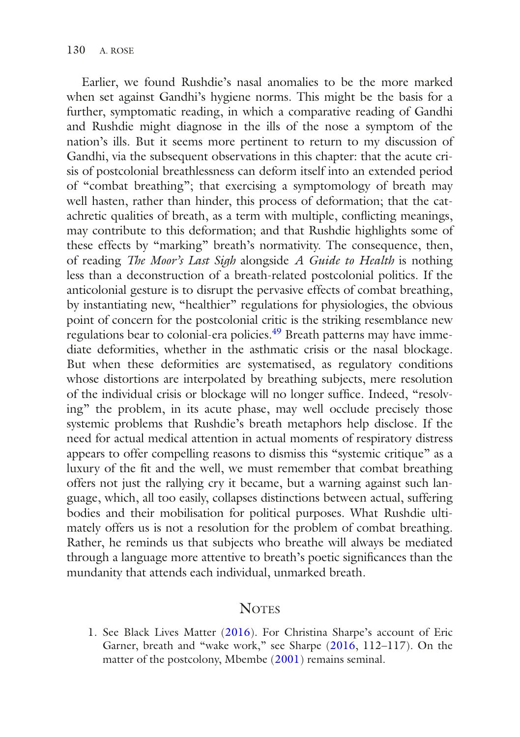Earlier, we found Rushdie's nasal anomalies to be the more marked when set against Gandhi's hygiene norms. This might be the basis for a further, symptomatic reading, in which a comparative reading of Gandhi and Rushdie might diagnose in the ills of the nose a symptom of the nation's ills. But it seems more pertinent to return to my discussion of Gandhi, via the subsequent observations in this chapter: that the acute crisis of postcolonial breathlessness can deform itself into an extended period of "combat breathing"; that exercising a symptomology of breath may well hasten, rather than hinder, this process of deformation; that the catachretic qualities of breath, as a term with multiple, conficting meanings, may contribute to this deformation; and that Rushdie highlights some of these effects by "marking" breath's normativity. The consequence, then, of reading *The Moor's Last Sigh* alongside *A Guide to Health* is nothing less than a deconstruction of a breath-related postcolonial politics. If the anticolonial gesture is to disrupt the pervasive effects of combat breathing, by instantiating new, "healthier" regulations for physiologies, the obvious point of concern for the postcolonial critic is the striking resemblance new regulations bear to colonial-era policies.<sup>[49](#page-17-0)</sup> Breath patterns may have immediate deformities, whether in the asthmatic crisis or the nasal blockage. But when these deformities are systematised, as regulatory conditions whose distortions are interpolated by breathing subjects, mere resolution of the individual crisis or blockage will no longer suffice. Indeed, "resolving" the problem, in its acute phase, may well occlude precisely those systemic problems that Rushdie's breath metaphors help disclose. If the need for actual medical attention in actual moments of respiratory distress appears to offer compelling reasons to dismiss this "systemic critique" as a luxury of the ft and the well, we must remember that combat breathing offers not just the rallying cry it became, but a warning against such language, which, all too easily, collapses distinctions between actual, suffering bodies and their mobilisation for political purposes. What Rushdie ultimately offers us is not a resolution for the problem of combat breathing. Rather, he reminds us that subjects who breathe will always be mediated through a language more attentive to breath's poetic signifcances than the mundanity that attends each individual, unmarked breath.

## <span id="page-17-0"></span>**NOTES**

1. See Black Lives Matter ([2016](#page-19-0)). For Christina Sharpe's account of Eric Garner, breath and "wake work," see Sharpe ([2016,](#page-21-0) 112–117). On the matter of the postcolony, Mbembe ([2001](#page-20-1)) remains seminal.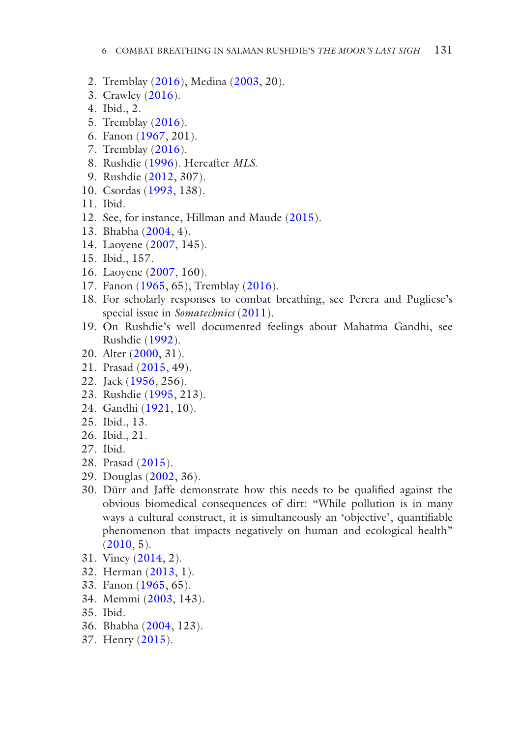- 2. Tremblay [\(2016](#page-21-1)), Medina ([2003](#page-20-2), 20).
- 3. Crawley ([2016](#page-19-1)).
- 4. Ibid., 2.
- 5. Tremblay [\(2016](#page-21-1)).
- 6. Fanon [\(1967](#page-20-3), 201).
- 7. Tremblay [\(2016](#page-21-1)).
- 8. Rushdie [\(1996](#page-21-2)). Hereafter *MLS*.
- 9. Rushdie [\(2012](#page-21-3), 307).
- 10. Csordas [\(1993,](#page-19-2) 138).
- 11. Ibid.
- 12. See, for instance, Hillman and Maude ([2015\)](#page-20-4).
- 13. Bhabha ([2004](#page-19-3), 4).
- 14. Laoyene [\(2007](#page-20-5), 145).
- 15. Ibid., 157.
- 16. Laoyene [\(2007](#page-20-5), 160).
- 17. Fanon [\(1965](#page-20-6), 65), Tremblay [\(2016](#page-21-1)).
- 18. For scholarly responses to combat breathing, see Perera and Pugliese's special issue in *Somatechnics* [\(2011](#page-20-7)).
- 19. On Rushdie's well documented feelings about Mahatma Gandhi, see Rushdie ([1992](#page-21-4)).
- 20. Alter ([2000,](#page-19-4) 31).
- 21. Prasad ([2015,](#page-21-5) 49).
- 22. Jack ([1956](#page-20-8), 256).
- 23. Rushdie [\(1995](#page-21-6), 213).
- 24. Gandhi [\(1921](#page-20-0), 10).
- 25. Ibid., 13.
- 26. Ibid., 21.
- 27. Ibid.
- 28. Prasad ([2015\)](#page-21-5).
- 29. Douglas ([2002,](#page-20-9) 36).
- 30. Dürr and Jaffe demonstrate how this needs to be qualifed against the obvious biomedical consequences of dirt: "While pollution is in many ways a cultural construct, it is simultaneously an 'objective', quantifable phenomenon that impacts negatively on human and ecological health"  $(2010, 5)$  $(2010, 5)$ .
- 31. Viney ([2014](#page-21-7), 2).
- 32. Herman ([2013](#page-20-11), 1).
- 33. Fanon [\(1965](#page-20-6), 65).
- 34. Memmi [\(2003](#page-20-12), 143).
- 35. Ibid.
- 36. Bhabha ([2004](#page-19-3), 123).
- 37. Henry ([2015](#page-20-13)).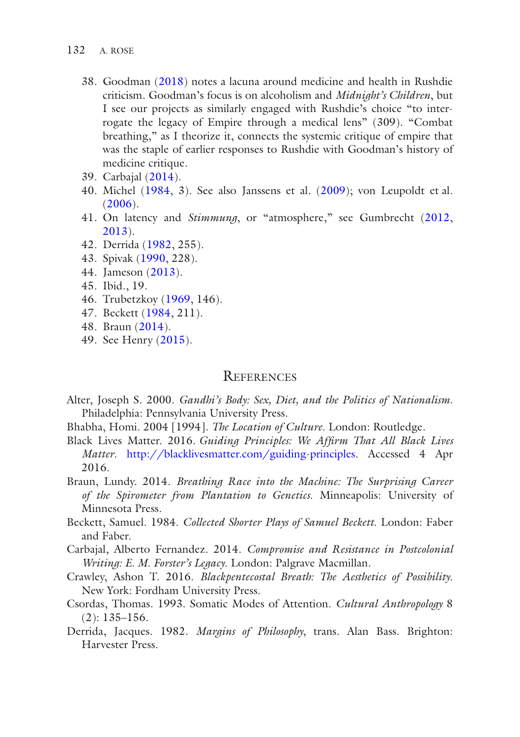- 38. Goodman [\(2018](#page-20-14)) notes a lacuna around medicine and health in Rushdie criticism. Goodman's focus is on alcoholism and *Midnight's Children*, but I see our projects as similarly engaged with Rushdie's choice "to interrogate the legacy of Empire through a medical lens" (309). "Combat breathing," as I theorize it, connects the systemic critique of empire that was the staple of earlier responses to Rushdie with Goodman's history of medicine critique.
- 39. Carbajal [\(2014\)](#page-19-5).
- 40. Michel [\(1984](#page-20-15), 3). See also Janssens et al. ([2009\)](#page-20-16); von Leupoldt et al.  $(2006)$  $(2006)$ .
- 41. On latency and *Stimmung*, or "atmosphere," see Gumbrecht [\(2012](#page-20-17), [2013](#page-20-18)).
- 42. Derrida [\(1982,](#page-19-6) 255).
- 43. Spivak [\(1990,](#page-21-9) 228).
- 44. Jameson [\(2013\)](#page-20-19).
- 45. Ibid., 19.
- 46. Trubetzkoy ([1969,](#page-21-10) 146).
- 47. Beckett ([1984,](#page-19-7) 211).
- 48. Braun [\(2014](#page-19-8)).
- 49. See Henry [\(2015](#page-20-13)).

## **REFERENCES**

- <span id="page-19-4"></span>Alter, Joseph S. 2000. *Gandhi's Body: Sex, Diet, and the Politics of Nationalism*. Philadelphia: Pennsylvania University Press.
- <span id="page-19-3"></span>Bhabha, Homi. 2004 [1994]. *The Location of Culture*. London: Routledge.
- <span id="page-19-0"></span>Black Lives Matter. 2016. *Guiding Principles: We Affrm That All Black Lives Matter*. [http://blacklivesmatter.com/guiding-principles.](http://blacklivesmatter.com/guiding-principles) Accessed 4 Apr 2016.
- <span id="page-19-8"></span>Braun, Lundy. 2014. *Breathing Race into the Machine: The Surprising Career of the Spirometer from Plantation to Genetics*. Minneapolis: University of Minnesota Press.
- <span id="page-19-7"></span>Beckett, Samuel. 1984. *Collected Shorter Plays of Samuel Beckett*. London: Faber and Faber.
- <span id="page-19-5"></span>Carbajal, Alberto Fernandez. 2014. *Compromise and Resistance in Postcolonial Writing: E. M. Forster's Legacy*. London: Palgrave Macmillan.
- <span id="page-19-1"></span>Crawley, Ashon T. 2016. *Blackpentecostal Breath: The Aesthetics of Possibility*. New York: Fordham University Press.
- <span id="page-19-2"></span>Csordas, Thomas. 1993. Somatic Modes of Attention. *Cultural Anthropology* 8 (2): 135–156.
- <span id="page-19-6"></span>Derrida, Jacques. 1982. *Margins of Philosophy*, trans. Alan Bass. Brighton: Harvester Press.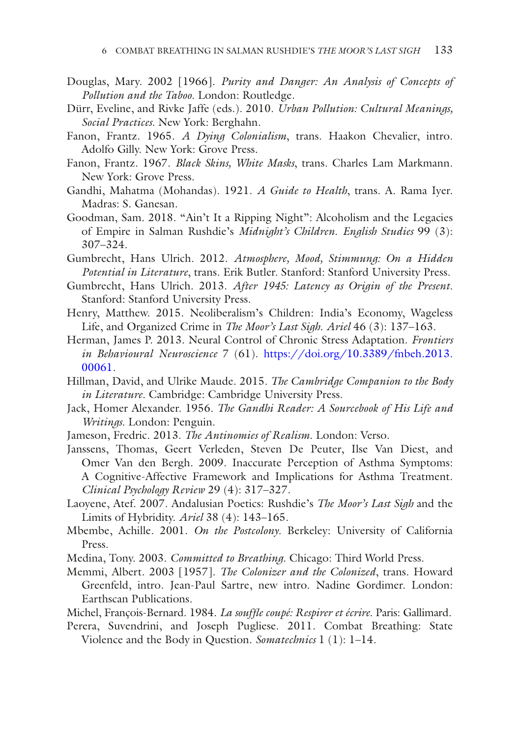- <span id="page-20-9"></span>Douglas, Mary. 2002 [1966]. *Purity and Danger: An Analysis of Concepts of Pollution and the Taboo*. London: Routledge.
- <span id="page-20-10"></span>Dürr, Eveline, and Rivke Jaffe (eds.). 2010. *Urban Pollution: Cultural Meanings, Social Practices*. New York: Berghahn.
- <span id="page-20-6"></span>Fanon, Frantz. 1965. *A Dying Colonialism*, trans. Haakon Chevalier, intro. Adolfo Gilly. New York: Grove Press.
- <span id="page-20-3"></span>Fanon, Frantz. 1967. *Black Skins, White Masks*, trans. Charles Lam Markmann. New York: Grove Press.
- <span id="page-20-0"></span>Gandhi, Mahatma (Mohandas). 1921. *A Guide to Health*, trans. A. Rama Iyer. Madras: S. Ganesan.
- <span id="page-20-14"></span>Goodman, Sam. 2018. "Ain't It a Ripping Night": Alcoholism and the Legacies of Empire in Salman Rushdie's *Midnight's Children*. *English Studies* 99 (3): 307–324.
- <span id="page-20-17"></span>Gumbrecht, Hans Ulrich. 2012. *Atmosphere, Mood, Stimmung: On a Hidden Potential in Literature*, trans. Erik Butler. Stanford: Stanford University Press.
- <span id="page-20-18"></span>Gumbrecht, Hans Ulrich. 2013. *After 1945: Latency as Origin of the Present*. Stanford: Stanford University Press.
- <span id="page-20-13"></span>Henry, Matthew. 2015. Neoliberalism's Children: India's Economy, Wageless Life, and Organized Crime in *The Moor's Last Sigh*. *Ariel* 46 (3): 137–163.
- <span id="page-20-11"></span>Herman, James P. 2013. Neural Control of Chronic Stress Adaptation. *Frontiers in Behavioural Neuroscience* 7 (61). [https://doi.org/10.3389/fnbeh.2013.](http://dx.doi.org/10.3389/fnbeh.2013.00061) [00061](http://dx.doi.org/10.3389/fnbeh.2013.00061).
- <span id="page-20-4"></span>Hillman, David, and Ulrike Maude. 2015. *The Cambridge Companion to the Body in Literature*. Cambridge: Cambridge University Press.
- <span id="page-20-8"></span>Jack, Homer Alexander. 1956. *The Gandhi Reader: A Sourcebook of His Life and Writings*. London: Penguin.
- <span id="page-20-19"></span>Jameson, Fredric. 2013. *The Antinomies of Realism*. London: Verso.
- <span id="page-20-16"></span>Janssens, Thomas, Geert Verleden, Steven De Peuter, Ilse Van Diest, and Omer Van den Bergh. 2009. Inaccurate Perception of Asthma Symptoms: A Cognitive-Affective Framework and Implications for Asthma Treatment. *Clinical Psychology Review* 29 (4): 317–327.
- <span id="page-20-5"></span>Laoyene, Atef. 2007. Andalusian Poetics: Rushdie's *The Moor's Last Sigh* and the Limits of Hybridity. *Ariel* 38 (4): 143–165.
- <span id="page-20-1"></span>Mbembe, Achille. 2001. *On the Postcolony*. Berkeley: University of California Press.
- <span id="page-20-2"></span>Medina, Tony. 2003. *Committed to Breathing*. Chicago: Third World Press.
- <span id="page-20-12"></span>Memmi, Albert. 2003 [1957]. *The Colonizer and the Colonized*, trans. Howard Greenfeld, intro. Jean-Paul Sartre, new intro. Nadine Gordimer. London: Earthscan Publications.
- <span id="page-20-15"></span>Michel, François-Bernard. 1984. *La souffe coupé: Respirer et écrire*. Paris: Gallimard.
- <span id="page-20-7"></span>Perera, Suvendrini, and Joseph Pugliese. 2011. Combat Breathing: State Violence and the Body in Question. *Somatechnics* 1 (1): 1–14.